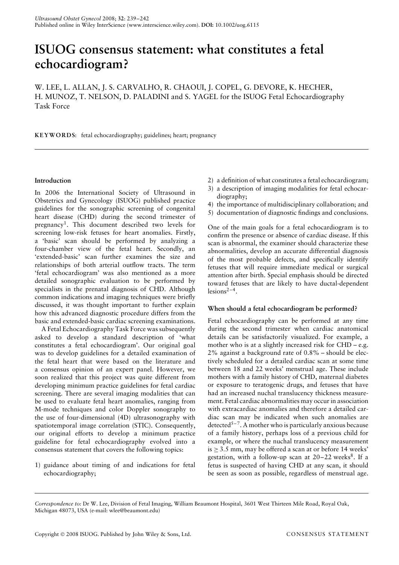# **ISUOG consensus statement: what constitutes a fetal echocardiogram?**

W. LEE, L. ALLAN, J. S. CARVALHO, R. CHAOUI, J. COPEL, G. DEVORE, K. HECHER, H. MUNOZ, T. NELSON, D. PALADINI and S. YAGEL for the ISUOG Fetal Echocardiography Task Force

**KEYWORDS**: fetal echocardiography; guidelines; heart; pregnancy

#### **Introduction**

In 2006 the International Society of Ultrasound in Obstetrics and Gynecology (ISUOG) published practice guidelines for the sonographic screening of congenital heart disease (CHD) during the second trimester of pregnancy1. This document described two levels for screening low-risk fetuses for heart anomalies. Firstly, a 'basic' scan should be performed by analyzing a four-chamber view of the fetal heart. Secondly, an 'extended-basic' scan further examines the size and relationships of both arterial outflow tracts. The term 'fetal echocardiogram' was also mentioned as a more detailed sonographic evaluation to be performed by specialists in the prenatal diagnosis of CHD. Although common indications and imaging techniques were briefly discussed, it was thought important to further explain how this advanced diagnostic procedure differs from the basic and extended-basic cardiac screening examinations.

A Fetal Echocardiography Task Force was subsequently asked to develop a standard description of 'what constitutes a fetal echocardiogram'. Our original goal was to develop guidelines for a detailed examination of the fetal heart that were based on the literature and a consensus opinion of an expert panel. However, we soon realized that this project was quite different from developing minimum practice guidelines for fetal cardiac screening. There are several imaging modalities that can be used to evaluate fetal heart anomalies, ranging from M-mode techniques and color Doppler sonography to the use of four-dimensional (4D) ultrasonography with spatiotemporal image correlation (STIC). Consequently, our original efforts to develop a minimum practice guideline for fetal echocardiography evolved into a consensus statement that covers the following topics:

1) guidance about timing of and indications for fetal echocardiography;

- 2) a definition of what constitutes a fetal echocardiogram;
- 3) a description of imaging modalities for fetal echocardiography;
- 4) the importance of multidisciplinary collaboration; and
- 5) documentation of diagnostic findings and conclusions.

One of the main goals for a fetal echocardiogram is to confirm the presence or absence of cardiac disease. If this scan is abnormal, the examiner should characterize these abnormalities, develop an accurate differential diagnosis of the most probable defects, and specifically identify fetuses that will require immediate medical or surgical attention after birth. Special emphasis should be directed toward fetuses that are likely to have ductal-dependent  $lesions<sup>2-4</sup>$ .

## **When should a fetal echocardiogram be performed?**

Fetal echocardiography can be performed at any time during the second trimester when cardiac anatomical details can be satisfactorily visualized. For example, a mother who is at a slightly increased risk for CHD – e.g. 2% against a background rate of 0.8% – should be electively scheduled for a detailed cardiac scan at some time between 18 and 22 weeks' menstrual age. These include mothers with a family history of CHD, maternal diabetes or exposure to teratogenic drugs, and fetuses that have had an increased nuchal translucency thickness measurement. Fetal cardiac abnormalities may occur in association with extracardiac anomalies and therefore a detailed cardiac scan may be indicated when such anomalies are detected<sup>5-7</sup>. A mother who is particularly anxious because of a family history, perhaps loss of a previous child for example, or where the nuchal translucency measurement is  $\geq$  3.5 mm, may be offered a scan at or before 14 weeks' gestation, with a follow-up scan at  $20-22$  weeks<sup>8</sup>. If a fetus is suspected of having CHD at any scan, it should be seen as soon as possible, regardless of menstrual age.

*Correspondence to:* Dr W. Lee, Division of Fetal Imaging, William Beaumont Hospital, 3601 West Thirteen Mile Road, Royal Oak, Michigan 48073, USA (e-mail: wlee@beaumont.edu)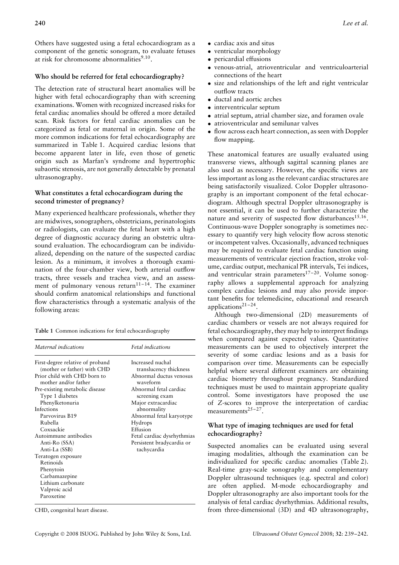Others have suggested using a fetal echocardiogram as a component of the genetic sonogram, to evaluate fetuses at risk for chromosome abnormalities<sup>9,10</sup>.

#### **Who should be referred for fetal echocardiography?**

The detection rate of structural heart anomalies will be higher with fetal echocardiography than with screening examinations. Women with recognized increased risks for fetal cardiac anomalies should be offered a more detailed scan. Risk factors for fetal cardiac anomalies can be categorized as fetal or maternal in origin. Some of the more common indications for fetal echocardiography are summarized in Table 1. Acquired cardiac lesions that become apparent later in life, even those of genetic origin such as Marfan's syndrome and hypertrophic subaortic stenosis, are not generally detectable by prenatal ultrasonography.

## **What constitutes a fetal echocardiogram during the second trimester of pregnancy?**

Many experienced healthcare professionals, whether they are midwives, sonographers, obstetricians, perinatologists or radiologists, can evaluate the fetal heart with a high degree of diagnostic accuracy during an obstetric ultrasound evaluation. The echocardiogram can be individualized, depending on the nature of the suspected cardiac lesion. As a minimum, it involves a thorough examination of the four-chamber view, both arterial outflow tracts, three vessels and trachea view, and an assessment of pulmonary venous return<sup>11-14</sup>. The examiner should confirm anatomical relationships and functional flow characteristics through a systematic analysis of the following areas:

**Table 1** Common indications for fetal echocardiography

| Maternal indications                                                                                                                                                                                                                                                                                                                                                                                                      | Fetal indications                                                                                                                                                                                                                                                                               |
|---------------------------------------------------------------------------------------------------------------------------------------------------------------------------------------------------------------------------------------------------------------------------------------------------------------------------------------------------------------------------------------------------------------------------|-------------------------------------------------------------------------------------------------------------------------------------------------------------------------------------------------------------------------------------------------------------------------------------------------|
| First-degree relative of proband<br>(mother or father) with CHD<br>Prior child with CHD born to<br>mother and/or father<br>Pre-existing metabolic disease<br>Type 1 diabetes<br>Phenylketonuria<br>Infections<br>Parvovirus B19<br>Rubella<br>Coxsackie<br>Autoimmune antibodies<br>Anti-Ro (SSA)<br>Anti-La (SSB)<br>Teratogen exposure<br>Retinoids<br>Phenytoin<br>Carbamazepine<br>Lithium carbonate<br>Valproic acid | Increased nuchal<br>translucency thickness<br>Abnormal ductus venosus<br>waveform<br>Abnormal fetal cardiac<br>screening exam<br>Major extracardiac<br>abnormality<br>Abnormal fetal karyotype<br>Hydrops<br>Effusion<br>Fetal cardiac dysrhythmias<br>Persistent bradycardia or<br>tachycardia |
| Paroxetine                                                                                                                                                                                                                                                                                                                                                                                                                |                                                                                                                                                                                                                                                                                                 |

CHD, congenital heart disease.

- cardiac axis and situs
- ventricular morphology
- pericardial effusions
- venous-atrial, atrioventricular and ventriculoarterial connections of the heart
- size and relationships of the left and right ventricular outflow tracts
- ductal and aortic arches
- interventricular septum
- atrial septum, atrial chamber size, and foramen ovale
- atrioventricular and semilunar valves
- flow across each heart connection, as seen with Doppler flow mapping.

These anatomical features are usually evaluated using transverse views, although sagittal scanning planes are also used as necessary. However, the specific views are less important as long as the relevant cardiac structures are being satisfactorily visualized. Color Doppler ultrasonography is an important component of the fetal echocardiogram. Although spectral Doppler ultrasonography is not essential, it can be used to further characterize the nature and severity of suspected flow disturbances<sup>15,16</sup>. Continuous-wave Doppler sonography is sometimes necessary to quantify very high velocity flow across stenotic or incompetent valves. Occasionally, advanced techniques may be required to evaluate fetal cardiac function using measurements of ventricular ejection fraction, stroke volume, cardiac output, mechanical PR intervals, Tei indices, and ventricular strain parameters $17-20$ . Volume sonography allows a supplemental approach for analyzing complex cardiac lesions and may also provide important benefits for telemedicine, educational and research applications<sup>21-24</sup>.

Although two-dimensional (2D) measurements of cardiac chambers or vessels are not always required for fetal echocardiography, they may help to interpret findings when compared against expected values. Quantitative measurements can be used to objectively interpret the severity of some cardiac lesions and as a basis for comparison over time. Measurements can be especially helpful where several different examiners are obtaining cardiac biometry throughout pregnancy. Standardized techniques must be used to maintain appropriate quality control. Some investigators have proposed the use of *Z*-scores to improve the interpretation of cardiac measurements $25-27$ .

## **What type of imaging techniques are used for fetal echocardiography?**

Suspected anomalies can be evaluated using several imaging modalities, although the examination can be individualized for specific cardiac anomalies (Table 2). Real-time gray-scale sonography and complementary Doppler ultrasound techniques (e.g. spectral and color) are often applied. M-mode echocardiography and Doppler ultrasonography are also important tools for the analysis of fetal cardiac dysrhythmias. Additional results, from three-dimensional (3D) and 4D ultrasonography,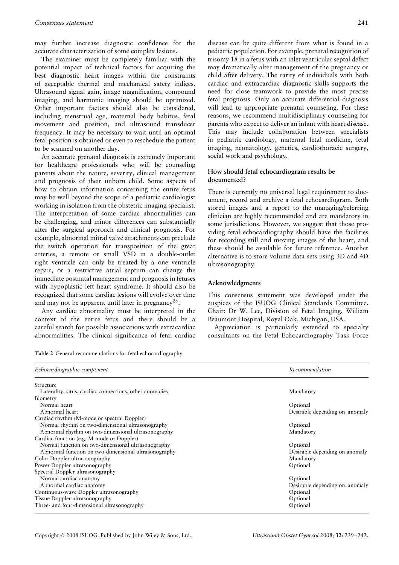may further increase diagnostic confidence for the accurate characterization of some complex lesions.

The examiner must be completely familiar with the potential impact of technical factors for acquiring the best diagnostic heart images within the constraints of acceptable thermal and mechanical safety indices. Ultrasound signal gain, image magnification, compound imaging, and harmonic imaging should be optimized. Other important factors should also be considered, including menstrual age, maternal body habitus, fetal movement and position, and ultrasound transducer frequency. It may be necessary to wait until an optimal fetal position is obtained or even to reschedule the patient to be scanned on another day.

An accurate prenatal diagnosis is extremely important for healthcare professionals who will be counseling parents about the nature, severity, clinical management and prognosis of their unborn child. Some aspects of how to obtain information concerning the entire fetus may be well beyond the scope of a pediatric cardiologist working in isolation from the obstetric imaging specialist. The interpretation of some cardiac abnormalities can be challenging, and minor differences can substantially alter the surgical approach and clinical prognosis. For example, abnormal mitral valve attachments can preclude the switch operation for transposition of the great arteries, a remote or small VSD in a double-outlet right ventricle can only be treated by a one ventricle repair, or a restrictive atrial septum can change the immediate postnatal management and prognosis in fetuses with hypoplastic left heart syndrome. It should also be recognized that some cardiac lesions will evolve over time and may not be apparent until later in pregnancy<sup>28</sup>.

Any cardiac abnormality must be interpreted in the context of the entire fetus and there should be a careful search for possible associations with extracardiac abnormalities. The clinical significance of fetal cardiac

**Table 2** General recommendations for fetal echocardiography

disease can be quite different from what is found in a pediatric population. For example, prenatal recognition of trisomy 18 in a fetus with an inlet ventricular septal defect may dramatically alter management of the pregnancy or child after delivery. The rarity of individuals with both cardiac and extracardiac diagnostic skills supports the need for close teamwork to provide the most precise fetal prognosis. Only an accurate differential diagnosis will lead to appropriate prenatal counseling. For these reasons, we recommend multidisciplinary counseling for parents who expect to deliver an infant with heart disease.

This may include collaboration between specialists in pediatric cardiology, maternal fetal medicine, fetal imaging, neonatology, genetics, cardiothoracic surgery, social work and psychology.

## **How should fetal echocardiogram results be documented?**

There is currently no universal legal requirement to document, record and archive a fetal echocardiogram. Both stored images and a report to the managing/referring clinician are highly recommended and are mandatory in some jurisdictions. However, we suggest that those providing fetal echocardiography should have the facilities for recording still and moving images of the heart, and these should be available for future reference. Another alternative is to store volume data sets using 3D and 4D ultrasonography.

## **Acknowledgments**

This consensus statement was developed under the auspices of the ISUOG Clinical Standards Committee. Chair: Dr W. Lee, Division of Fetal Imaging, William Beaumont Hospital, Royal Oak, Michigan, USA.

Appreciation is particularly extended to specialty consultants on the Fetal Echocardiography Task Force

| Echocardiographic component                             | Recommendation                 |
|---------------------------------------------------------|--------------------------------|
| Structure                                               |                                |
| Laterality, situs, cardiac connections, other anomalies | Mandatory                      |
| Biometry                                                |                                |
| Normal heart                                            | Optional                       |
| Abnormal heart                                          | Desirable depending on anomaly |
| Cardiac rhythm (M-mode or spectral Doppler)             |                                |
| Normal rhythm on two-dimensional ultrasonography        | Optional                       |
| Abnormal rhythm on two-dimensional ultrasonography      | Mandatory                      |
| Cardiac function (e.g. M-mode or Doppler)               |                                |
| Normal function on two-dimensional ultrasonography      | Optional                       |
| Abnormal function on two-dimensional ultrasonography    | Desirable depending on anomaly |
| Color Doppler ultrasonography                           | Mandatory                      |
| Power Doppler ultrasonography                           | Optional                       |
| Spectral Doppler ultrasonography                        |                                |
| Normal cardiac anatomy                                  | Optional                       |
| Abnormal cardiac anatomy                                | Desirable depending on anomaly |
| Continuous-wave Doppler ultrasonography                 | Optional                       |
| Tissue Doppler ultrasonography                          | Optional                       |
| Three- and four-dimensional ultrasonography             | Optional                       |